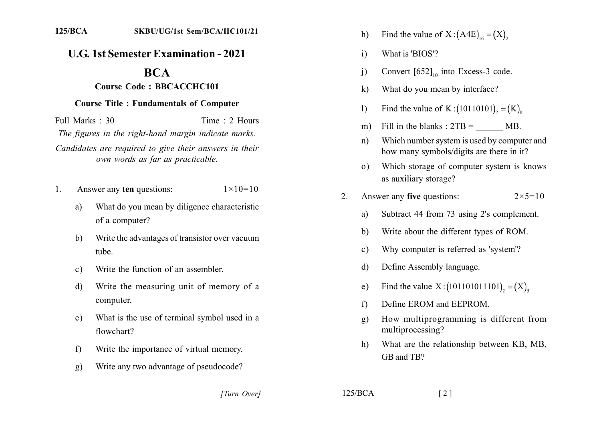## **U.G. 1st Semester Examination - 2021**

## **BCA**

## **Course Code: BBCACCHC101**

## **Course Title: Fundamentals of Computer**

Full Marks  $\cdot$  30 Time  $\cdot$  2 Hours The figures in the right-hand margin indicate marks. Candidates are required to give their answers in their own words as far as practicable.

- Answer any ten questions:  $1 \times 10 = 10$ 1.
	- What do you mean by diligence characteristic a) of a computer?
	- Write the advantages of transistor over vacuum  $b)$ tube.
	- Write the function of an assembler.  $c)$
	- Write the measuring unit of memory of a  $\mathbf{d}$ computer.
	- What is the use of terminal symbol used in a  $e)$ flowchart?
	- Write the importance of virtual memory.  $f$
	- Write any two advantage of pseudocode? g)
- Find the value of  $X:(A4E)_{16}=(X)$ ,  $h)$
- $\mathbf{i}$ What is 'BIOS'?
- Convert  $[652]_{10}$  into Excess-3 code.  $\ddot{1}$
- $\bf k$ What do you mean by interface?
- Find the value of K:  $(10110101)$ , =  $(K)$ .  $\mathbf{I}$
- Fill in the blanks :  $2TB = MB$ .  $m)$
- Which number system is used by computer and  $n)$ how many symbols/digits are there in it?
- Which storage of computer system is knows  $(0)$ as auxiliary storage?
- Answer any five questions:  $2<sup>1</sup>$  $2 \times 5 = 10$ 
	- Subtract 44 from 73 using 2's complement. a)
	- Write about the different types of ROM.  $b)$
	- Why computer is referred as 'system'?  $\mathbf{c}$ )
	- Define Assembly language.  $\mathbf{d}$
	- Find the value  $X:(101101011101)_{2}=(X)_{3}$  $e)$
	- Define EROM and EEPROM  $f$
	- How multiprogramming is different from  $g)$ multiprocessing?
	- What are the relationship between KB, MB,  $h$ ) GB and TB?

[Turn Over]

 $125/BCA$